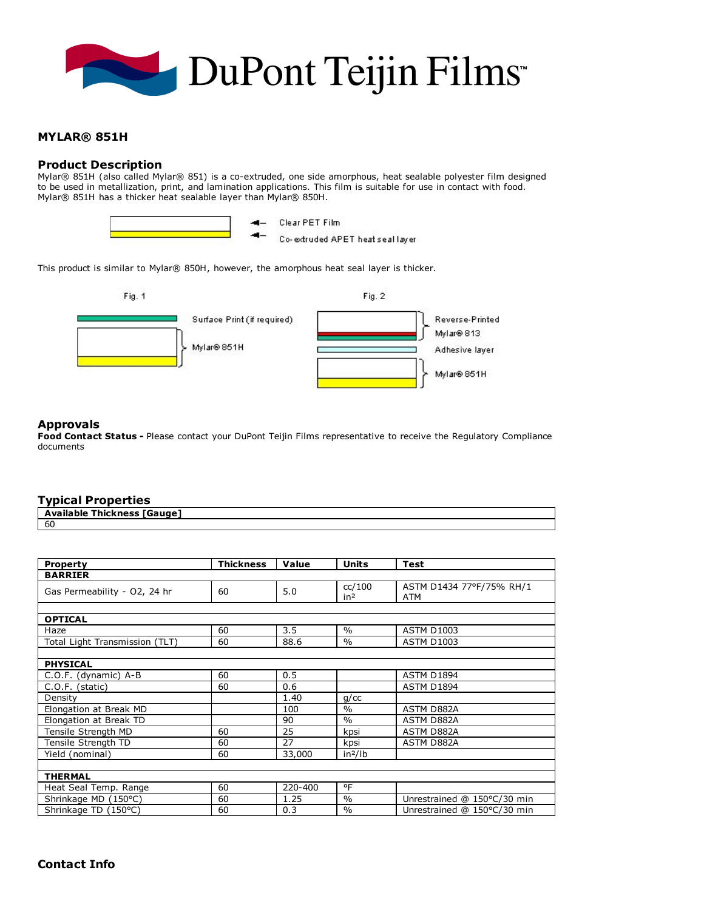

## MYLAR® 851H

### Product Description

Mylar® 851H (also called Mylar® 851) is a co-extruded, one side amorphous, heat sealable polyester film designed to be used in metallization, print, and lamination applications. This film is suitable for use in contact with food. Mylar® 851H has a thicker heat sealable layer than Mylar® 850H.



Clear PET Film

Co-extruded APET heat seal layer

This product is similar to Mylar® 850H, however, the amorphous heat seal layer is thicker.



### Approvals

Food Contact Status - Please contact your DuPont Teijin Films representative to receive the Regulatory Compliance documents

# Typical Properties

| - - - - - - - - -<br>------        |
|------------------------------------|
| <b>Available Thickness [Gauge]</b> |
| -60                                |

| <b>Property</b>                | <b>Thickness</b> | Value   | <b>Units</b>              | <b>Test</b>                     |  |
|--------------------------------|------------------|---------|---------------------------|---------------------------------|--|
| <b>BARRIER</b>                 |                  |         |                           |                                 |  |
| Gas Permeability - O2, 24 hr   | 60               | 5.0     | cc/100<br>in <sup>2</sup> | ASTM D1434 77°F/75% RH/1<br>ATM |  |
|                                |                  |         |                           |                                 |  |
| <b>OPTICAL</b>                 |                  |         |                           |                                 |  |
| Haze                           | 60               | 3.5     | $\frac{0}{0}$             | <b>ASTM D1003</b>               |  |
| Total Light Transmission (TLT) | 60               | 88.6    | $\frac{0}{0}$             | <b>ASTM D1003</b>               |  |
|                                |                  |         |                           |                                 |  |
| <b>PHYSICAL</b>                |                  |         |                           |                                 |  |
| C.O.F. (dynamic) A-B           | 60               | 0.5     |                           | <b>ASTM D1894</b>               |  |
| C.O.F. (static)                | 60               | 0.6     |                           | ASTM D1894                      |  |
| Density                        |                  | 1.40    | $q$ / $cc$                |                                 |  |
| Elongation at Break MD         |                  | 100     | $\frac{0}{0}$             | <b>ASTM D882A</b>               |  |
| Elongation at Break TD         |                  | 90      | $\frac{0}{0}$             | ASTM D882A                      |  |
| Tensile Strength MD            | 60               | 25      | kpsi                      | ASTM D882A                      |  |
| Tensile Strength TD            | 60               | 27      | kpsi                      | ASTM D882A                      |  |
| Yield (nominal)                | 60               | 33,000  | in <sup>2</sup> /lb       |                                 |  |
|                                |                  |         |                           |                                 |  |
| <b>THERMAL</b>                 |                  |         |                           |                                 |  |
| Heat Seal Temp. Range          | 60               | 220-400 | °F                        |                                 |  |
| Shrinkage MD (150°C)           | 60               | 1.25    | $\frac{0}{0}$             | Unrestrained @ 150°C/30 min     |  |
| Shrinkage TD (150°C)           | 60               | 0.3     | $\frac{0}{0}$             | Unrestrained @ 150°C/30 min     |  |